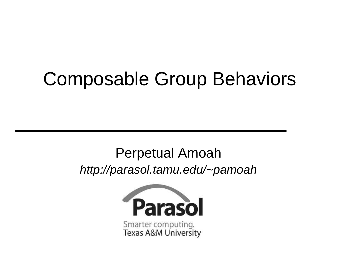### Composable Group Behaviors

#### Perpetual Amoah http://parasol.tamu.edu/~pamoah

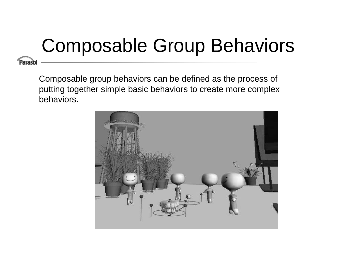# Composable Group Behaviors

Paraso

Composable group behaviors can be defined as the process of putting together simple basic behaviors to create more complex behaviors.

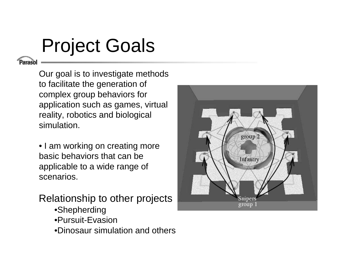## Project Goals

Our goal is to investigate methods to facilitate the generation of complex group behaviors for application such as games, virtual reality, robotics and biological simulation.

• I am working on creating more basic behaviors that can be applicable to <sup>a</sup> wide range of scenarios.

Relationship to other projects

- •Shepherding
- •Pursuit-Evasion
- •Dinosaur simulation and others

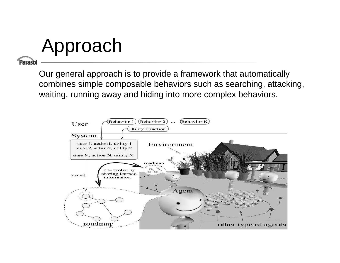Approach

#### Parasol

Our general approach is to provide <sup>a</sup> framework that automatically combines simple composable behaviors such as searching, attacking, waiting, running away and hiding into more complex behaviors.

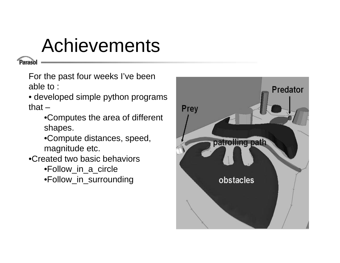#### Achievements

'arasol

For the past four weeks I've been able to :

• developed simple python programs that  $-$ 

•Computes the area of different shapes.

•Compute distances, speed, magnitude etc.

- •Created two basic behaviors
	- •Follow \_ in \_ a \_ circle

•Follow \_ in \_ surrounding

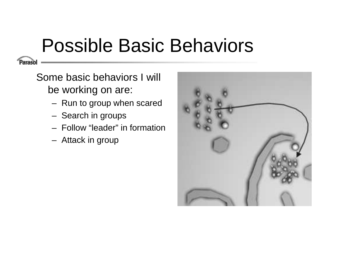## Possible Basic Behaviors

Parasol

Some basic behaviors I will be working on are:

- –– Run to group when scared
- – $-$  Search in groups
- Follow "leader" in formation
- –Attack in group

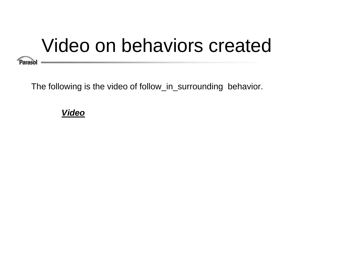## Video on behaviors created

**Parasol** 

The following is the video of follow\_in\_surrounding behavior.

#### **Video**